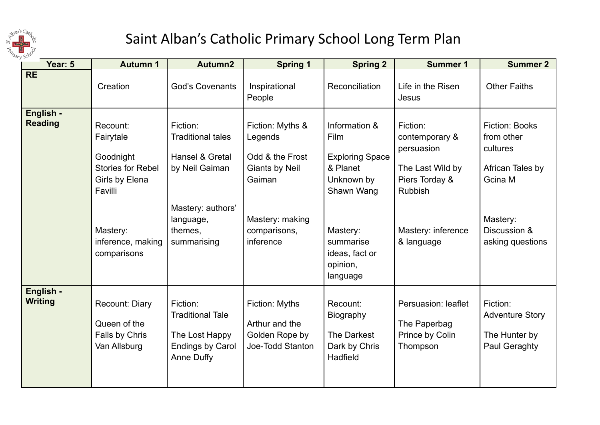

## Saint Alban's Catholic Primary School Long Term Plan

| Year: 5                     | <b>Autumn 1</b>                                                                                                                             | Autumn2                                                                                                                               | <b>Spring 1</b>                                                                                                                   | <b>Spring 2</b>                                                                                                                                            | <b>Summer 1</b>                                                                                                                      | <b>Summer 2</b>                                                                                                                |
|-----------------------------|---------------------------------------------------------------------------------------------------------------------------------------------|---------------------------------------------------------------------------------------------------------------------------------------|-----------------------------------------------------------------------------------------------------------------------------------|------------------------------------------------------------------------------------------------------------------------------------------------------------|--------------------------------------------------------------------------------------------------------------------------------------|--------------------------------------------------------------------------------------------------------------------------------|
| <b>RE</b>                   | Creation                                                                                                                                    | <b>God's Covenants</b>                                                                                                                | Inspirational<br>People                                                                                                           | Reconciliation                                                                                                                                             | Life in the Risen<br>Jesus                                                                                                           | <b>Other Faiths</b>                                                                                                            |
| English -<br><b>Reading</b> | Recount:<br>Fairytale<br>Goodnight<br><b>Stories for Rebel</b><br>Girls by Elena<br>Favilli<br>Mastery:<br>inference, making<br>comparisons | Fiction:<br><b>Traditional tales</b><br>Hansel & Gretal<br>by Neil Gaiman<br>Mastery: authors'<br>language,<br>themes,<br>summarising | Fiction: Myths &<br>Legends<br>Odd & the Frost<br><b>Giants by Neil</b><br>Gaiman<br>Mastery: making<br>comparisons,<br>inference | Information &<br>Film<br><b>Exploring Space</b><br>& Planet<br>Unknown by<br>Shawn Wang<br>Mastery:<br>summarise<br>ideas, fact or<br>opinion,<br>language | Fiction:<br>contemporary &<br>persuasion<br>The Last Wild by<br>Piers Torday &<br><b>Rubbish</b><br>Mastery: inference<br>& language | <b>Fiction: Books</b><br>from other<br>cultures<br>African Tales by<br>Gcina M<br>Mastery:<br>Discussion &<br>asking questions |
| English -<br><b>Writing</b> | Recount: Diary<br>Queen of the<br>Falls by Chris<br>Van Allsburg                                                                            | Fiction:<br><b>Traditional Tale</b><br>The Lost Happy<br><b>Endings by Carol</b><br>Anne Duffy                                        | Fiction: Myths<br>Arthur and the<br>Golden Rope by<br>Joe-Todd Stanton                                                            | Recount:<br><b>Biography</b><br>The Darkest<br>Dark by Chris<br>Hadfield                                                                                   | Persuasion: leaflet<br>The Paperbag<br>Prince by Colin<br>Thompson                                                                   | Fiction:<br><b>Adventure Story</b><br>The Hunter by<br>Paul Geraghty                                                           |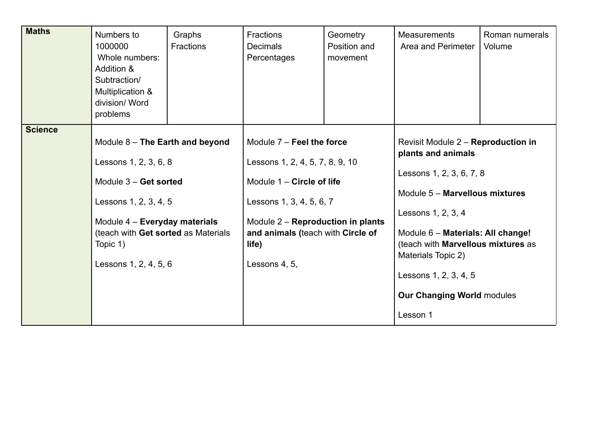| <b>Maths</b>   | Numbers to<br>1000000<br>Whole numbers:<br>Addition &<br>Subtraction/<br>Multiplication &<br>division/ Word<br>problems                                                                                                   | Graphs<br><b>Fractions</b> | <b>Fractions</b><br><b>Decimals</b><br>Percentages                                                                                                                                                                          | Geometry<br>Position and<br>movement | <b>Measurements</b><br>Area and Perimeter                                                                                                                                                                                                                                                                               | Roman numerals<br>Volume |
|----------------|---------------------------------------------------------------------------------------------------------------------------------------------------------------------------------------------------------------------------|----------------------------|-----------------------------------------------------------------------------------------------------------------------------------------------------------------------------------------------------------------------------|--------------------------------------|-------------------------------------------------------------------------------------------------------------------------------------------------------------------------------------------------------------------------------------------------------------------------------------------------------------------------|--------------------------|
| <b>Science</b> | Module 8 - The Earth and beyond<br>Lessons 1, 2, 3, 6, 8<br>Module $3 -$ Get sorted<br>Lessons 1, 2, 3, 4, 5<br>Module 4 - Everyday materials<br>(teach with Get sorted as Materials<br>Topic 1)<br>Lessons 1, 2, 4, 5, 6 |                            | Module $7$ – Feel the force<br>Lessons 1, 2, 4, 5, 7, 8, 9, 10<br>Module 1 – Circle of life<br>Lessons 1, 3, 4, 5, 6, 7<br>Module 2 - Reproduction in plants<br>and animals (teach with Circle of<br>life)<br>Lessons 4, 5, |                                      | Revisit Module 2 – Reproduction in<br>plants and animals<br>Lessons 1, 2, 3, 6, 7, 8<br>Module 5 - Marvellous mixtures<br>Lessons 1, 2, 3, 4<br>Module 6 - Materials: All change!<br>(teach with Marvellous mixtures as<br>Materials Topic 2)<br>Lessons 1, 2, 3, 4, 5<br><b>Our Changing World modules</b><br>Lesson 1 |                          |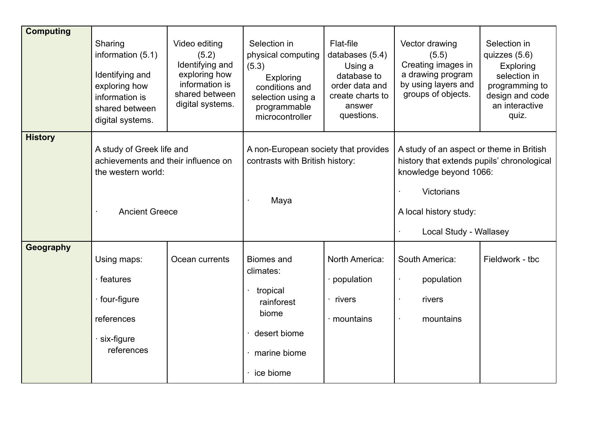| <b>Computing</b> | Sharing<br>information $(5.1)$<br>Identifying and<br>exploring how<br>information is<br>shared between<br>digital systems. | Video editing<br>(5.2)<br>Identifying and<br>exploring how<br>information is<br>shared between<br>digital systems. | Selection in<br>physical computing<br>(5.3)<br>Exploring<br>conditions and<br>selection using a<br>programmable<br>microcontroller | Flat-file<br>databases (5.4)<br>Using a<br>database to<br>order data and<br>create charts to<br>answer<br>questions. | Vector drawing<br>(5.5)<br>Creating images in<br>a drawing program<br>by using layers and<br>groups of objects.                                                                           | Selection in<br>quizzes (5.6)<br>Exploring<br>selection in<br>programming to<br>design and code<br>an interactive<br>quiz. |
|------------------|----------------------------------------------------------------------------------------------------------------------------|--------------------------------------------------------------------------------------------------------------------|------------------------------------------------------------------------------------------------------------------------------------|----------------------------------------------------------------------------------------------------------------------|-------------------------------------------------------------------------------------------------------------------------------------------------------------------------------------------|----------------------------------------------------------------------------------------------------------------------------|
| <b>History</b>   | A study of Greek life and<br>achievements and their influence on<br>the western world:<br><b>Ancient Greece</b>            |                                                                                                                    | A non-European society that provides<br>contrasts with British history:<br>Maya                                                    |                                                                                                                      | A study of an aspect or theme in British<br>history that extends pupils' chronological<br>knowledge beyond 1066:<br><b>Victorians</b><br>A local history study:<br>Local Study - Wallasey |                                                                                                                            |
| Geography        | Using maps:<br>features<br>four-figure<br>references<br>six-figure<br>references                                           | Ocean currents                                                                                                     | <b>Biomes and</b><br>climates:<br>tropical<br>rainforest<br>biome<br>desert biome<br>marine biome<br>ice biome                     | North America:<br>· population<br>rivers<br>mountains                                                                | South America:<br>population<br>rivers<br>mountains                                                                                                                                       | Fieldwork - tbc                                                                                                            |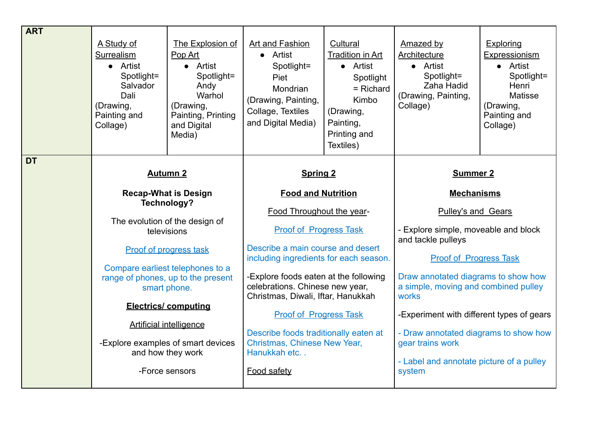| <b>ART</b> | A Study of<br>Surrealism<br>• Artist<br>Spotlight=<br>Salvador<br>Dali<br>(Drawing,<br>Painting and<br>Collage)                                                                                                                                                                                                                                                       | The Explosion of<br>Pop Art<br>• Artist<br>Spotlight=<br>Andy<br>Warhol<br>(Drawing,<br>Painting, Printing<br>and Digital<br>Media) | <b>Art and Fashion</b><br>Artist<br>$\bullet$<br>Spotlight=<br>Piet<br>Mondrian<br>(Drawing, Painting,<br>Collage, Textiles<br>and Digital Media) | Cultural<br><b>Tradition in Art</b><br>• Artist<br>Spotlight<br>$=$ Richard<br>Kimbo<br>(Drawing,<br>Painting,<br>Printing and<br>Textiles) | <b>Amazed by</b><br>Architecture<br>• Artist<br>Spotlight=<br>Zaha Hadid<br>(Drawing, Painting,<br>Collage) | <b>Exploring</b><br>Expressionism<br>• Artist<br>Spotlight=<br>Henri<br>Matisse<br>(Drawing,<br>Painting and<br>Collage) |
|------------|-----------------------------------------------------------------------------------------------------------------------------------------------------------------------------------------------------------------------------------------------------------------------------------------------------------------------------------------------------------------------|-------------------------------------------------------------------------------------------------------------------------------------|---------------------------------------------------------------------------------------------------------------------------------------------------|---------------------------------------------------------------------------------------------------------------------------------------------|-------------------------------------------------------------------------------------------------------------|--------------------------------------------------------------------------------------------------------------------------|
| <b>DT</b>  | <b>Autumn 2</b><br><b>Recap-What is Design</b><br>Technology?<br>The evolution of the design of<br>televisions<br><b>Proof of progress task</b><br>Compare earliest telephones to a<br>range of phones, up to the present<br>smart phone.<br><b>Electrics/ computing</b><br><b>Artificial intelligence</b><br>-Explore examples of smart devices<br>and how they work |                                                                                                                                     | <b>Spring 2</b>                                                                                                                                   |                                                                                                                                             | <b>Summer 2</b>                                                                                             |                                                                                                                          |
|            |                                                                                                                                                                                                                                                                                                                                                                       |                                                                                                                                     | <b>Food and Nutrition</b>                                                                                                                         |                                                                                                                                             | <b>Mechanisms</b>                                                                                           |                                                                                                                          |
|            |                                                                                                                                                                                                                                                                                                                                                                       |                                                                                                                                     | Food Throughout the year-                                                                                                                         |                                                                                                                                             | Pulley's and Gears                                                                                          |                                                                                                                          |
|            |                                                                                                                                                                                                                                                                                                                                                                       |                                                                                                                                     | <b>Proof of Progress Task</b>                                                                                                                     |                                                                                                                                             | - Explore simple, moveable and block<br>and tackle pulleys                                                  |                                                                                                                          |
|            |                                                                                                                                                                                                                                                                                                                                                                       |                                                                                                                                     | Describe a main course and desert<br>including ingredients for each season.                                                                       |                                                                                                                                             | <b>Proof of Progress Task</b>                                                                               |                                                                                                                          |
|            |                                                                                                                                                                                                                                                                                                                                                                       |                                                                                                                                     | -Explore foods eaten at the following<br>celebrations. Chinese new year,<br>Christmas, Diwali, Iftar, Hanukkah                                    |                                                                                                                                             | Draw annotated diagrams to show how<br>a simple, moving and combined pulley<br>works                        |                                                                                                                          |
|            |                                                                                                                                                                                                                                                                                                                                                                       |                                                                                                                                     | <b>Proof of Progress Task</b>                                                                                                                     |                                                                                                                                             | -Experiment with different types of gears                                                                   |                                                                                                                          |
|            |                                                                                                                                                                                                                                                                                                                                                                       |                                                                                                                                     | Describe foods traditionally eaten at<br>Christmas, Chinese New Year,<br>Hanukkah etc                                                             |                                                                                                                                             | - Draw annotated diagrams to show how                                                                       |                                                                                                                          |
|            |                                                                                                                                                                                                                                                                                                                                                                       |                                                                                                                                     |                                                                                                                                                   |                                                                                                                                             | gear trains work                                                                                            |                                                                                                                          |
|            |                                                                                                                                                                                                                                                                                                                                                                       | -Force sensors                                                                                                                      | Food safety                                                                                                                                       |                                                                                                                                             | - Label and annotate picture of a pulley<br>system                                                          |                                                                                                                          |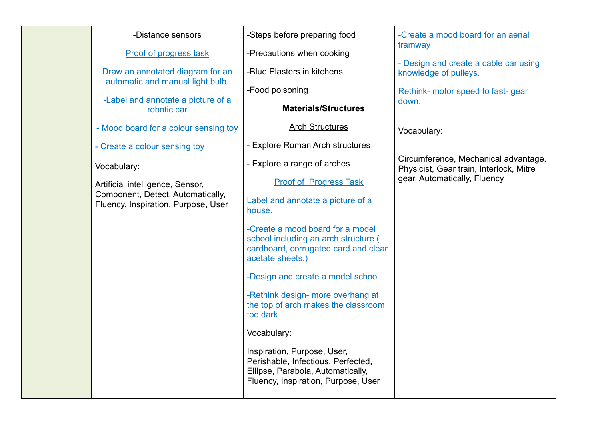## -Distance sensors

Proof of progress task

Draw an annotated diagram for an automatic and manual light bulb.

-Label and annotate a picture of a robotic car

- Mood board for a colour sensing toy

- Create a colour sensing toy

Vocabulary:

Artificial intelligence, Sensor, Component, Detect, Automatically, Fluency, Inspiration, Purpose, User -Steps before preparing food

-Precautions when cooking

-Blue Plasters in kitchens

-Food poisoning

**Materials/Structures**

Arch Structures

- Explore Roman Arch structures

- Explore a range of arches

Proof of Progress Task

Label and annotate a picture of a house.

-Create a mood board for a model school including an arch structure ( cardboard, corrugated card and clear acetate sheets.)

-Design and create a model school.

-Rethink design- more overhang at the top of arch makes the classroom too dark

Vocabulary:

Inspiration, Purpose, User, Perishable, Infectious, Perfected, Ellipse, Parabola, Automatically, Fluency, Inspiration, Purpose, User

-Create a mood board for an aerial tramway

- Design and create a cable car using knowledge of pulleys.

Rethink- motor speed to fast- gear down.

Vocabulary:

Circumference, Mechanical advantage, Physicist, Gear train, Interlock, Mitre gear, Automatically, Fluency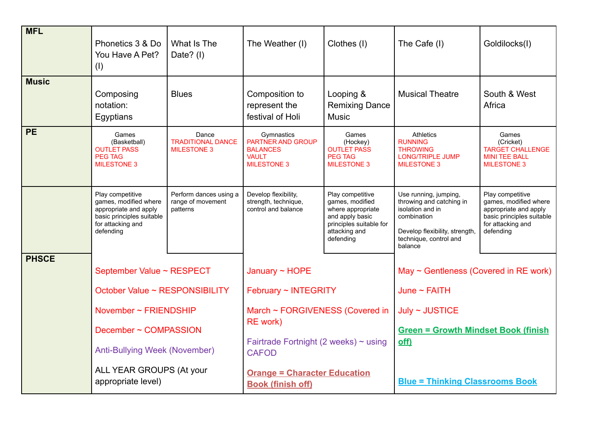|              | Phonetics 3 & Do<br>You Have A Pet?<br>(1)                                                                                                                                                              | What Is The<br>Date? (I)                                | The Weather (I)                                                                                                                                                                                                                    | Clothes (I)                                                                                                                          | The Cafe (I)                                                                                                                                                                             | Goldilocks(I)                                                                                                                     |
|--------------|---------------------------------------------------------------------------------------------------------------------------------------------------------------------------------------------------------|---------------------------------------------------------|------------------------------------------------------------------------------------------------------------------------------------------------------------------------------------------------------------------------------------|--------------------------------------------------------------------------------------------------------------------------------------|------------------------------------------------------------------------------------------------------------------------------------------------------------------------------------------|-----------------------------------------------------------------------------------------------------------------------------------|
| <b>Music</b> | Composing<br>notation:<br>Egyptians                                                                                                                                                                     | <b>Blues</b>                                            | Composition to<br>represent the<br>festival of Holi                                                                                                                                                                                | Looping &<br><b>Remixing Dance</b><br><b>Music</b>                                                                                   | <b>Musical Theatre</b>                                                                                                                                                                   | South & West<br>Africa                                                                                                            |
| <b>PE</b>    | Games<br>(Basketball)<br><b>OUTLET PASS</b><br><b>PEG TAG</b><br><b>MILESTONE 3</b>                                                                                                                     | Dance<br><b>TRADITIONAL DANCE</b><br><b>MILESTONE 3</b> | Gymnastics<br><b>PARTNER AND GROUP</b><br><b>BALANCES</b><br><b>VAULT</b><br><b>MILESTONE 3</b>                                                                                                                                    | Games<br>(Hockey)<br><b>OUTLET PASS</b><br><b>PEG TAG</b><br><b>MILESTONE 3</b>                                                      | <b>Athletics</b><br><b>RUNNING</b><br><b>THROWING</b><br><b>LONG/TRIPLE JUMP</b><br><b>MILESTONE 3</b>                                                                                   | Games<br>(Cricket)<br><b>TARGET CHALLENGE</b><br><b>MINI TEE BALL</b><br><b>MILESTONE 3</b>                                       |
|              | Play competitive<br>games, modified where<br>appropriate and apply<br>basic principles suitable<br>for attacking and<br>defending                                                                       | Perform dances using a<br>range of movement<br>patterns | Develop flexibility,<br>strength, technique,<br>control and balance                                                                                                                                                                | Play competitive<br>games, modified<br>where appropriate<br>and apply basic<br>principles suitable for<br>attacking and<br>defending | Use running, jumping,<br>throwing and catching in<br>isolation and in<br>combination<br>Develop flexibility, strength,<br>technique, control and<br>balance                              | Play competitive<br>games, modified where<br>appropriate and apply<br>basic principles suitable<br>for attacking and<br>defending |
| <b>PHSCE</b> | September Value ~ RESPECT<br>October Value ~ RESPONSIBILITY<br>November ~ FRIENDSHIP<br>December ~ COMPASSION<br><b>Anti-Bullying Week (November)</b><br>ALL YEAR GROUPS (At your<br>appropriate level) |                                                         | January $\sim$ HOPE<br>February ~ INTEGRITY<br>March ~ FORGIVENESS (Covered in<br><b>RE</b> work)<br>Fairtrade Fortnight (2 weeks) $\sim$ using<br><b>CAFOD</b><br><b>Orange = Character Education</b><br><b>Book (finish off)</b> |                                                                                                                                      | May $\sim$ Gentleness (Covered in RE work)<br>June $\sim$ FAITH<br>July ~ <i>JUSTICE</i><br><b>Green = Growth Mindset Book (finish</b><br>off)<br><b>Blue = Thinking Classrooms Book</b> |                                                                                                                                   |